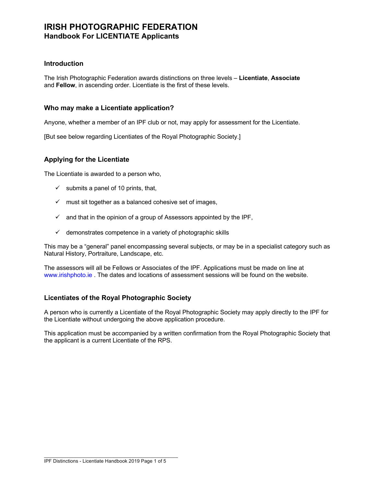## **Introduction**

The Irish Photographic Federation awards distinctions on three levels – **Licentiate**, **Associate** and **Fellow**, in ascending order. Licentiate is the first of these levels.

## **Who may make a Licentiate application?**

Anyone, whether a member of an IPF club or not, may apply for assessment for the Licentiate.

[But see below regarding Licentiates of the Royal Photographic Society.]

# **Applying for the Licentiate**

The Licentiate is awarded to a person who,

- $\checkmark$  submits a panel of 10 prints, that,
- $\checkmark$  must sit together as a balanced cohesive set of images,
- $\checkmark$  and that in the opinion of a group of Assessors appointed by the IPF,
- $\checkmark$  demonstrates competence in a variety of photographic skills

This may be a "general" panel encompassing several subjects, or may be in a specialist category such as Natural History, Portraiture, Landscape, etc.

The assessors will all be Fellows or Associates of the IPF. Applications must be made on line at www.irishphoto.ie . The dates and locations of assessment sessions will be found on the website.

# **Licentiates of the Royal Photographic Society**

A person who is currently a Licentiate of the Royal Photographic Society may apply directly to the IPF for the Licentiate without undergoing the above application procedure.

This application must be accompanied by a written confirmation from the Royal Photographic Society that the applicant is a current Licentiate of the RPS.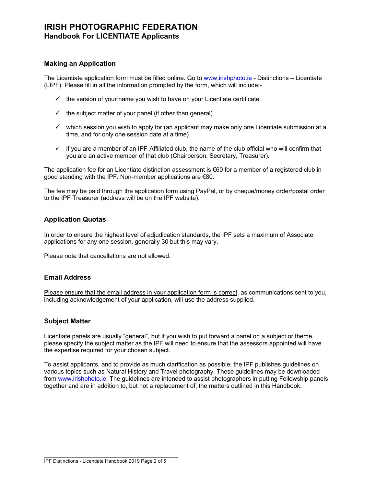## **Making an Application**

The Licentiate application form must be filled online. Go to www.irishphoto.ie - Distinctions – Licentiate (LIPF). Please fill in all the information prompted by the form, which will include:-

- $\checkmark$  the version of your name you wish to have on your Licentiate certificate
- $\checkmark$  the subject matter of your panel (if other than general)
- $\checkmark$  which session you wish to apply for.(an applicant may make only one Licentiate submission at a time, and for only one session date at a time)
- $\checkmark$  if you are a member of an IPF-Affiliated club, the name of the club official who will confirm that you are an active member of that club (Chairperson, Secretary, Treasurer).

The application fee for an Licentiate distinction assessment is  $\epsilon$ 60 for a member of a registered club in good standing with the IPF. Non-member applications are €80.

The fee may be paid through the application form using PayPal, or by cheque/money order/postal order to the IPF Treasurer (address will be on the IPF website).

# **Application Quotas**

In order to ensure the highest level of adjudication standards, the IPF sets a maximum of Associate applications for any one session, generally 30 but this may vary.

Please note that cancellations are not allowed.

## **Email Address**

Please ensure that the email address in your application form is correct, as communications sent to you, including acknowledgement of your application, will use the address supplied.

## **Subject Matter**

Licentiate panels are usually "general", but if you wish to put forward a panel on a subject or theme, please specify the subject matter as the IPF will need to ensure that the assessors appointed will have the expertise required for your chosen subject.

To assist applicants, and to provide as much clarification as possible, the IPF publishes guidelines on various topics such as Natural History and Travel photography. These guidelines may be downloaded from www.irishphoto.ie. The guidelines are intended to assist photographers in putting Fellowship panels together and are in addition to, but not a replacement of, the matters outlined in this Handbook.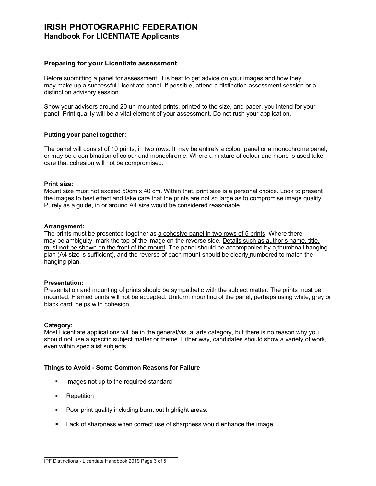## **Preparing for your Licentiate assessment**

Before submitting a panel for assessment, it is best to get advice on your images and how they may make up a successful Licentiate panel. If possible, attend a distinction assessment session or a distinction advisory session.

Show your advisors around 20 un-mounted prints, printed to the size, and paper, you intend for your panel. Print quality will be a vital element of your assessment. Do not rush your application.

## **Putting your panel together:**

The panel will consist of 10 prints, in two rows. It may be entirely a colour panel or a monochrome panel, or may be a combination of colour and monochrome. Where a mixture of colour and mono is used take care that cohesion will not be compromised.

### **Print size:**

Mount size must not exceed 50cm x 40 cm. Within that, print size is a personal choice. Look to present the images to best effect and take care that the prints are not so large as to compromise image quality. Purely as a guide, in or around A4 size would be considered reasonable.

### **Arrangement:**

The prints must be presented together as a cohesive panel in two rows of 5 prints. Where there may be ambiguity, mark the top of the image on the reverse side. Details such as author's name, title, must **not** be shown on the front of the mount. The panel should be accompanied by a thumbnail hanging plan (A4 size is sufficient), and the reverse of each mount should be clearly numbered to match the hanging plan.

## **Presentation:**

Presentation and mounting of prints should be sympathetic with the subject matter. The prints must be mounted. Framed prints will not be accepted. Uniform mounting of the panel, perhaps using white, grey or black card, helps with cohesion.

#### **Category:**

Most Licentiate applications will be in the general/visual arts category, but there is no reason why you should not use a specific subject matter or theme. Either way, candidates should show a variety of work, even within specialist subjects.

#### **Things to Avoid - Some Common Reasons for Failure**

- **■** Images not up to the required standard
- Repetition
- Poor print quality including burnt out highlight areas.
- Lack of sharpness when correct use of sharpness would enhance the image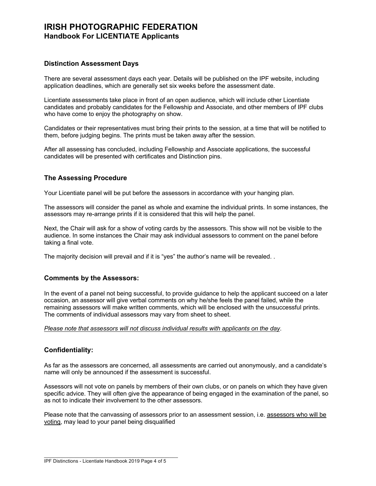## **Distinction Assessment Days**

There are several assessment days each year. Details will be published on the IPF website, including application deadlines, which are generally set six weeks before the assessment date.

Licentiate assessments take place in front of an open audience, which will include other Licentiate candidates and probably candidates for the Fellowship and Associate, and other members of IPF clubs who have come to enjoy the photography on show.

Candidates or their representatives must bring their prints to the session, at a time that will be notified to them, before judging begins. The prints must be taken away after the session.

After all assessing has concluded, including Fellowship and Associate applications, the successful candidates will be presented with certificates and Distinction pins.

## **The Assessing Procedure**

Your Licentiate panel will be put before the assessors in accordance with your hanging plan.

The assessors will consider the panel as whole and examine the individual prints. In some instances, the assessors may re-arrange prints if it is considered that this will help the panel.

Next, the Chair will ask for a show of voting cards by the assessors. This show will not be visible to the audience. In some instances the Chair may ask individual assessors to comment on the panel before taking a final vote.

The majority decision will prevail and if it is "yes" the author's name will be revealed. .

## **Comments by the Assessors:**

In the event of a panel not being successful, to provide guidance to help the applicant succeed on a later occasion, an assessor will give verbal comments on why he/she feels the panel failed, while the remaining assessors will make written comments, which will be enclosed with the unsuccessful prints. The comments of individual assessors may vary from sheet to sheet.

*Please note that assessors will not discuss individual results with applicants on the day*.

## **Confidentiality:**

As far as the assessors are concerned, all assessments are carried out anonymously, and a candidate's name will only be announced if the assessment is successful.

Assessors will not vote on panels by members of their own clubs, or on panels on which they have given specific advice. They will often give the appearance of being engaged in the examination of the panel, so as not to indicate their involvement to the other assessors.

Please note that the canvassing of assessors prior to an assessment session, i.e. assessors who will be voting, may lead to your panel being disqualified